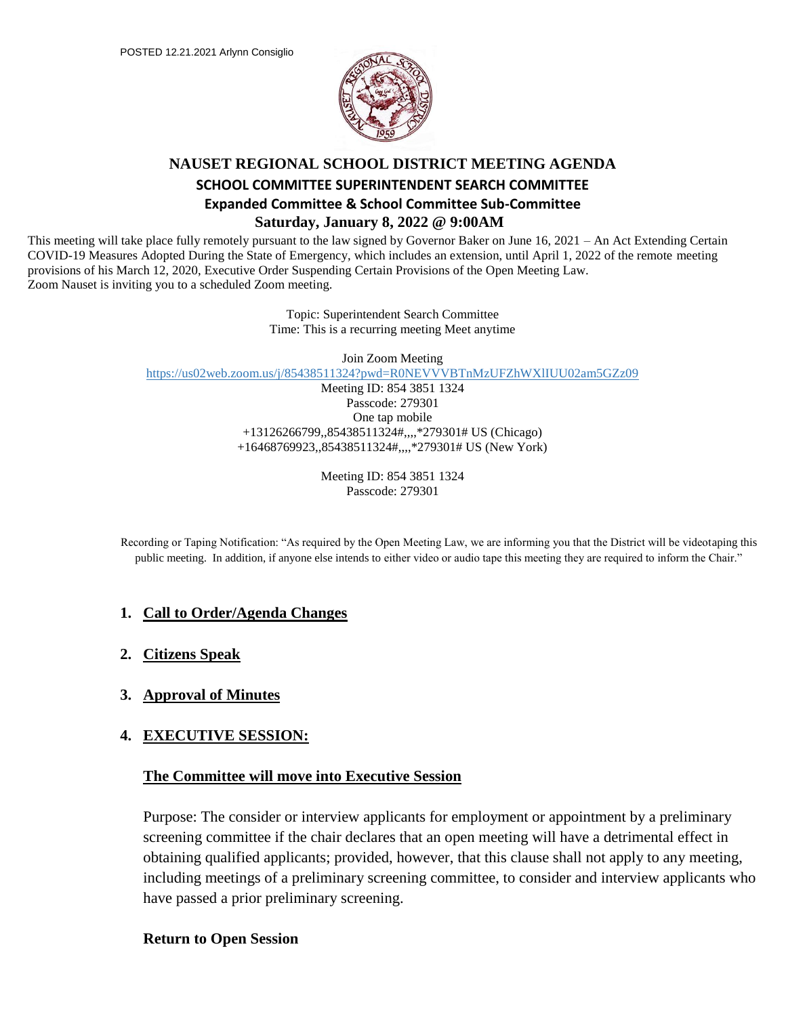

## **NAUSET REGIONAL SCHOOL DISTRICT MEETING AGENDA SCHOOL COMMITTEE SUPERINTENDENT SEARCH COMMITTEE Expanded Committee & School Committee Sub-Committee Saturday, January 8, 2022 @ 9:00AM**

This meeting will take place fully remotely pursuant to the law signed by Governor Baker on June 16, 2021 – An Act Extending Certain COVID-19 Measures Adopted During the State of Emergency, which includes an extension, until April 1, 2022 of the remote meeting provisions of his March 12, 2020, Executive Order Suspending Certain Provisions of the Open Meeting Law. Zoom Nauset is inviting you to a scheduled Zoom meeting.

> Topic: Superintendent Search Committee Time: This is a recurring meeting Meet anytime

> > Join Zoom Meeting

https://us02web.zoom.us/j/85438511324?pwd=R0NEVVVBTnMzUFZhWXlIUU02am5GZz09

Meeting ID: 854 3851 1324 Passcode: 279301 One tap mobile +13126266799,,85438511324#,,,,\*279301# US (Chicago) +16468769923,,85438511324#,,,,\*279301# US (New York)

> Meeting ID: 854 3851 1324 Passcode: 279301

Recording or Taping Notification: "As required by the Open Meeting Law, we are informing you that the District will be videotaping this public meeting. In addition, if anyone else intends to either video or audio tape this meeting they are required to inform the Chair."

### **1. Call to Order/Agenda Changes**

- **2. Citizens Speak**
- **3. Approval of Minutes**

### **4. EXECUTIVE SESSION:**

### **The Committee will move into Executive Session**

Purpose: The consider or interview applicants for employment or appointment by a preliminary screening committee if the chair declares that an open meeting will have a detrimental effect in obtaining qualified applicants; provided, however, that this clause shall not apply to any meeting, including meetings of a preliminary screening committee, to consider and interview applicants who have passed a prior preliminary screening.

#### **Return to Open Session**